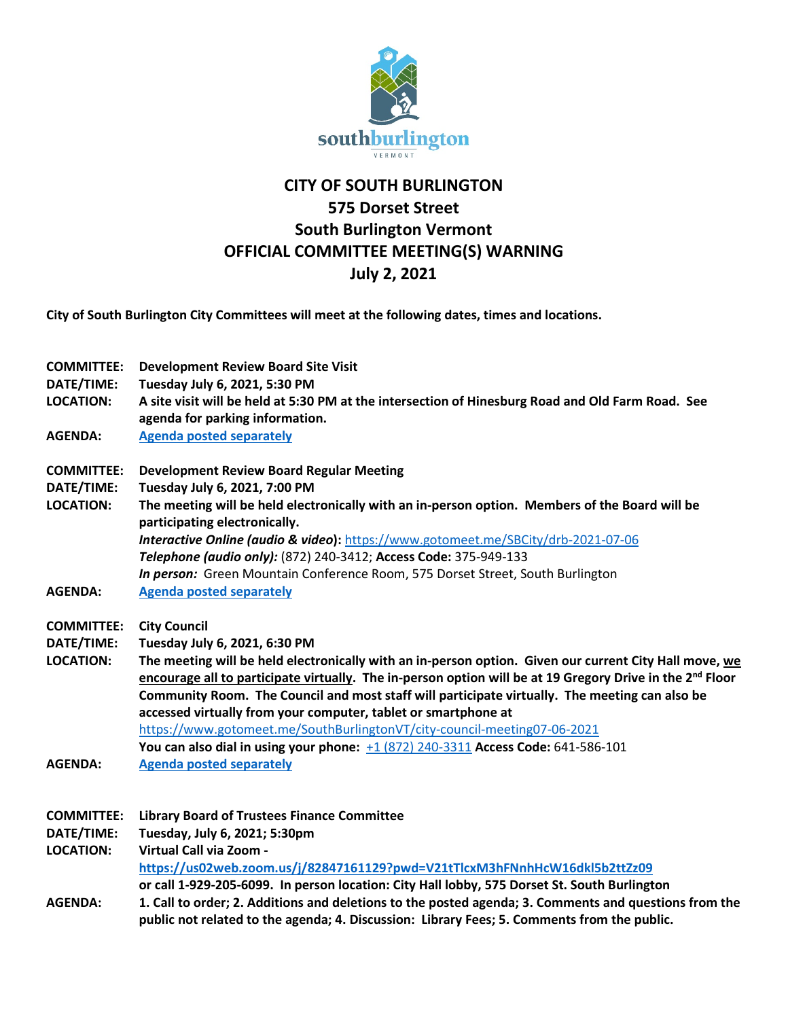

## **CITY OF SOUTH BURLINGTON 575 Dorset Street South Burlington Vermont OFFICIAL COMMITTEE MEETING(S) WARNING July 2, 2021**

**City of South Burlington City Committees will meet at the following dates, times and locations.** 

| <b>COMMITTEE:</b><br>DATE/TIME:<br><b>LOCATION:</b> | <b>Development Review Board Site Visit</b><br>Tuesday July 6, 2021, 5:30 PM<br>A site visit will be held at 5:30 PM at the intersection of Hinesburg Road and Old Farm Road. See<br>agenda for parking information. |
|-----------------------------------------------------|---------------------------------------------------------------------------------------------------------------------------------------------------------------------------------------------------------------------|
| <b>AGENDA:</b>                                      | <b>Agenda posted separately</b>                                                                                                                                                                                     |
| <b>COMMITTEE:</b>                                   | <b>Development Review Board Regular Meeting</b>                                                                                                                                                                     |
| DATE/TIME:<br><b>LOCATION:</b>                      | Tuesday July 6, 2021, 7:00 PM                                                                                                                                                                                       |
|                                                     | The meeting will be held electronically with an in-person option. Members of the Board will be<br>participating electronically.                                                                                     |
|                                                     | Interactive Online (audio & video): https://www.gotomeet.me/SBCity/drb-2021-07-06                                                                                                                                   |
|                                                     | Telephone (audio only): (872) 240-3412; Access Code: 375-949-133                                                                                                                                                    |
|                                                     | In person: Green Mountain Conference Room, 575 Dorset Street, South Burlington                                                                                                                                      |
| <b>AGENDA:</b>                                      | <b>Agenda posted separately</b>                                                                                                                                                                                     |
| <b>COMMITTEE:</b>                                   | <b>City Council</b>                                                                                                                                                                                                 |
| DATE/TIME:                                          | Tuesday July 6, 2021, 6:30 PM                                                                                                                                                                                       |
| <b>LOCATION:</b>                                    | The meeting will be held electronically with an in-person option. Given our current City Hall move, we                                                                                                              |
|                                                     | encourage all to participate virtually. The in-person option will be at 19 Gregory Drive in the $2^{nd}$ Floor                                                                                                      |
|                                                     | Community Room. The Council and most staff will participate virtually. The meeting can also be                                                                                                                      |
|                                                     | accessed virtually from your computer, tablet or smartphone at                                                                                                                                                      |
|                                                     | https://www.gotomeet.me/SouthBurlingtonVT/city-council-meeting07-06-2021                                                                                                                                            |
|                                                     | You can also dial in using your phone: $+1$ (872) 240-3311 Access Code: 641-586-101                                                                                                                                 |
| <b>AGENDA:</b>                                      | <b>Agenda posted separately</b>                                                                                                                                                                                     |
| <b>COMMITTEE:</b>                                   | <b>Library Board of Trustees Finance Committee</b>                                                                                                                                                                  |
| DATE/TIME:                                          | Tuesday, July 6, 2021; 5:30pm                                                                                                                                                                                       |
| <b>LOCATION:</b>                                    | Virtual Call via Zoom -                                                                                                                                                                                             |
|                                                     | https://us02web.zoom.us/j/82847161129?pwd=V21tTlcxM3hFNnhHcW16dkl5b2ttZz09                                                                                                                                          |
|                                                     | or call 1-929-205-6099. In person location: City Hall lobby, 575 Dorset St. South Burlington                                                                                                                        |
| <b>AGENDA:</b>                                      | 1. Call to order; 2. Additions and deletions to the posted agenda; 3. Comments and questions from the                                                                                                               |
|                                                     | public not related to the agenda; 4. Discussion: Library Fees; 5. Comments from the public.                                                                                                                         |